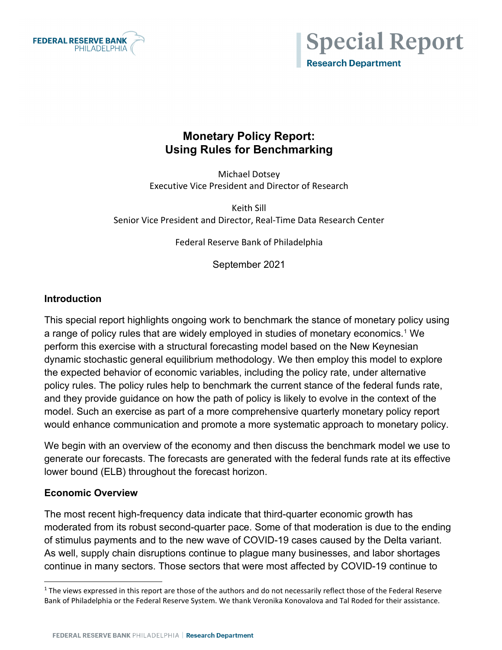



## **Monetary Policy Report: Using Rules for Benchmarking**

Michael Dotsey Executive Vice President and Director of Research

Keith Sill Senior Vice President and Director, Real-Time Data Research Center

Federal Reserve Bank of Philadelphia

September 2021

#### **Introduction**

This special report highlights ongoing work to benchmark the stance of monetary policy using a range of policy rules that are widely employed in studies of monetary economics.<sup>[1](#page-0-0)</sup> We perform this exercise with a structural forecasting model based on the New Keynesian dynamic stochastic general equilibrium methodology. We then employ this model to explore the expected behavior of economic variables, including the policy rate, under alternative policy rules. The policy rules help to benchmark the current stance of the federal funds rate, and they provide guidance on how the path of policy is likely to evolve in the context of the model. Such an exercise as part of a more comprehensive quarterly monetary policy report would enhance communication and promote a more systematic approach to monetary policy.

We begin with an overview of the economy and then discuss the benchmark model we use to generate our forecasts. The forecasts are generated with the federal funds rate at its effective lower bound (ELB) throughout the forecast horizon.

#### **Economic Overview**

The most recent high-frequency data indicate that third-quarter economic growth has moderated from its robust second-quarter pace. Some of that moderation is due to the ending of stimulus payments and to the new wave of COVID-19 cases caused by the Delta variant. As well, supply chain disruptions continue to plague many businesses, and labor shortages continue in many sectors. Those sectors that were most affected by COVID-19 continue to

<span id="page-0-0"></span> $1$  The views expressed in this report are those of the authors and do not necessarily reflect those of the Federal Reserve Bank of Philadelphia or the Federal Reserve System. We thank Veronika Konovalova and Tal Roded for their assistance.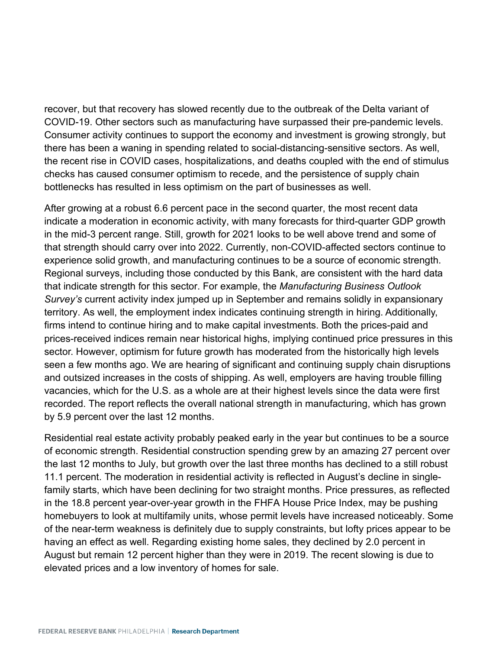recover, but that recovery has slowed recently due to the outbreak of the Delta variant of COVID-19. Other sectors such as manufacturing have surpassed their pre-pandemic levels. Consumer activity continues to support the economy and investment is growing strongly, but there has been a waning in spending related to social-distancing-sensitive sectors. As well, the recent rise in COVID cases, hospitalizations, and deaths coupled with the end of stimulus checks has caused consumer optimism to recede, and the persistence of supply chain bottlenecks has resulted in less optimism on the part of businesses as well.

After growing at a robust 6.6 percent pace in the second quarter, the most recent data indicate a moderation in economic activity, with many forecasts for third-quarter GDP growth in the mid-3 percent range. Still, growth for 2021 looks to be well above trend and some of that strength should carry over into 2022. Currently, non-COVID-affected sectors continue to experience solid growth, and manufacturing continues to be a source of economic strength. Regional surveys, including those conducted by this Bank, are consistent with the hard data that indicate strength for this sector. For example, the *Manufacturing Business Outlook Survey's* current activity index jumped up in September and remains solidly in expansionary territory. As well, the employment index indicates continuing strength in hiring. Additionally, firms intend to continue hiring and to make capital investments. Both the prices-paid and prices-received indices remain near historical highs, implying continued price pressures in this sector. However, optimism for future growth has moderated from the historically high levels seen a few months ago. We are hearing of significant and continuing supply chain disruptions and outsized increases in the costs of shipping. As well, employers are having trouble filling vacancies, which for the U.S. as a whole are at their highest levels since the data were first recorded. The report reflects the overall national strength in manufacturing, which has grown by 5.9 percent over the last 12 months.

Residential real estate activity probably peaked early in the year but continues to be a source of economic strength. Residential construction spending grew by an amazing 27 percent over the last 12 months to July, but growth over the last three months has declined to a still robust 11.1 percent. The moderation in residential activity is reflected in August's decline in singlefamily starts, which have been declining for two straight months. Price pressures, as reflected in the 18.8 percent year-over-year growth in the FHFA House Price Index, may be pushing homebuyers to look at multifamily units, whose permit levels have increased noticeably. Some of the near-term weakness is definitely due to supply constraints, but lofty prices appear to be having an effect as well. Regarding existing home sales, they declined by 2.0 percent in August but remain 12 percent higher than they were in 2019. The recent slowing is due to elevated prices and a low inventory of homes for sale.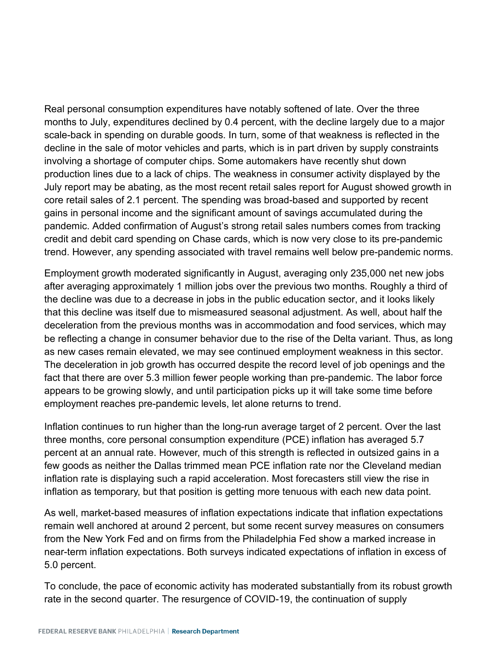Real personal consumption expenditures have notably softened of late. Over the three months to July, expenditures declined by 0.4 percent, with the decline largely due to a major scale-back in spending on durable goods. In turn, some of that weakness is reflected in the decline in the sale of motor vehicles and parts, which is in part driven by supply constraints involving a shortage of computer chips. Some automakers have recently shut down production lines due to a lack of chips. The weakness in consumer activity displayed by the July report may be abating, as the most recent retail sales report for August showed growth in core retail sales of 2.1 percent. The spending was broad-based and supported by recent gains in personal income and the significant amount of savings accumulated during the pandemic. Added confirmation of August's strong retail sales numbers comes from tracking credit and debit card spending on Chase cards, which is now very close to its pre-pandemic trend. However, any spending associated with travel remains well below pre-pandemic norms.

Employment growth moderated significantly in August, averaging only 235,000 net new jobs after averaging approximately 1 million jobs over the previous two months. Roughly a third of the decline was due to a decrease in jobs in the public education sector, and it looks likely that this decline was itself due to mismeasured seasonal adjustment. As well, about half the deceleration from the previous months was in accommodation and food services, which may be reflecting a change in consumer behavior due to the rise of the Delta variant. Thus, as long as new cases remain elevated, we may see continued employment weakness in this sector. The deceleration in job growth has occurred despite the record level of job openings and the fact that there are over 5.3 million fewer people working than pre-pandemic. The labor force appears to be growing slowly, and until participation picks up it will take some time before employment reaches pre-pandemic levels, let alone returns to trend.

Inflation continues to run higher than the long-run average target of 2 percent. Over the last three months, core personal consumption expenditure (PCE) inflation has averaged 5.7 percent at an annual rate. However, much of this strength is reflected in outsized gains in a few goods as neither the Dallas trimmed mean PCE inflation rate nor the Cleveland median inflation rate is displaying such a rapid acceleration. Most forecasters still view the rise in inflation as temporary, but that position is getting more tenuous with each new data point.

As well, market-based measures of inflation expectations indicate that inflation expectations remain well anchored at around 2 percent, but some recent survey measures on consumers from the New York Fed and on firms from the Philadelphia Fed show a marked increase in near-term inflation expectations. Both surveys indicated expectations of inflation in excess of 5.0 percent.

To conclude, the pace of economic activity has moderated substantially from its robust growth rate in the second quarter. The resurgence of COVID-19, the continuation of supply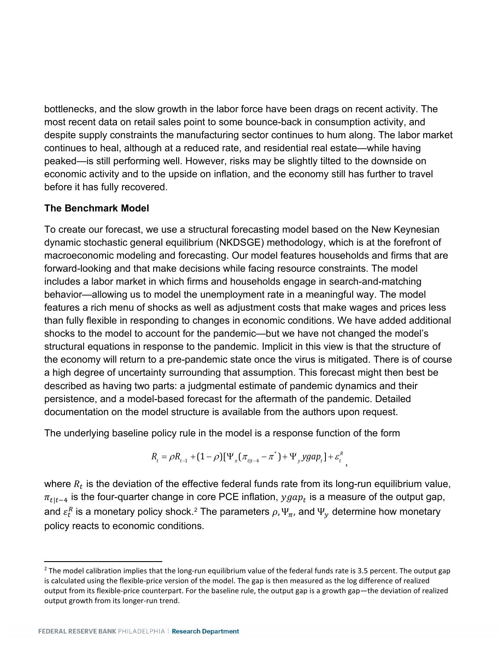bottlenecks, and the slow growth in the labor force have been drags on recent activity. The most recent data on retail sales point to some bounce-back in consumption activity, and despite supply constraints the manufacturing sector continues to hum along. The labor market continues to heal, although at a reduced rate, and residential real estate—while having peaked—is still performing well. However, risks may be slightly tilted to the downside on economic activity and to the upside on inflation, and the economy still has further to travel before it has fully recovered.

#### **The Benchmark Model**

To create our forecast, we use a structural forecasting model based on the New Keynesian dynamic stochastic general equilibrium (NKDSGE) methodology, which is at the forefront of macroeconomic modeling and forecasting. Our model features households and firms that are forward-looking and that make decisions while facing resource constraints. The model includes a labor market in which firms and households engage in search-and-matching behavior—allowing us to model the unemployment rate in a meaningful way. The model features a rich menu of shocks as well as adjustment costs that make wages and prices less than fully flexible in responding to changes in economic conditions. We have added additional shocks to the model to account for the pandemic—but we have not changed the model's structural equations in response to the pandemic. Implicit in this view is that the structure of the economy will return to a pre-pandemic state once the virus is mitigated. There is of course a high degree of uncertainty surrounding that assumption. This forecast might then best be described as having two parts: a judgmental estimate of pandemic dynamics and their persistence, and a model-based forecast for the aftermath of the pandemic. Detailed documentation on the model structure is available from the authors upon request.

The underlying baseline policy rule in the model is a response function of the form

$$
R_{t} = \rho R_{t-1} + (1 - \rho)[\Psi_{\pi}(\pi_{t|t-4} - \pi^{*}) + \Psi_{y}ygap_{t}] + \varepsilon_{t}^{R},
$$

where  $R_t$  is the deviation of the effective federal funds rate from its long-run equilibrium value,  $\pi_{t|t-4}$  is the four-quarter change in core PCE inflation,  $ygap_t$  is a measure of the output gap, and  $\varepsilon_t^R$  is a monetary policy shock. $^2$  $^2$  The parameters  $\rho$ ,  $\Psi_\pi$ , and  $\Psi_y$  determine how monetary policy reacts to economic conditions.

<span id="page-3-0"></span> $2$  The model calibration implies that the long-run equilibrium value of the federal funds rate is 3.5 percent. The output gap is calculated using the flexible-price version of the model. The gap is then measured as the log difference of realized output from its flexible-price counterpart. For the baseline rule, the output gap is a growth gap—the deviation of realized output growth from its longer-run trend.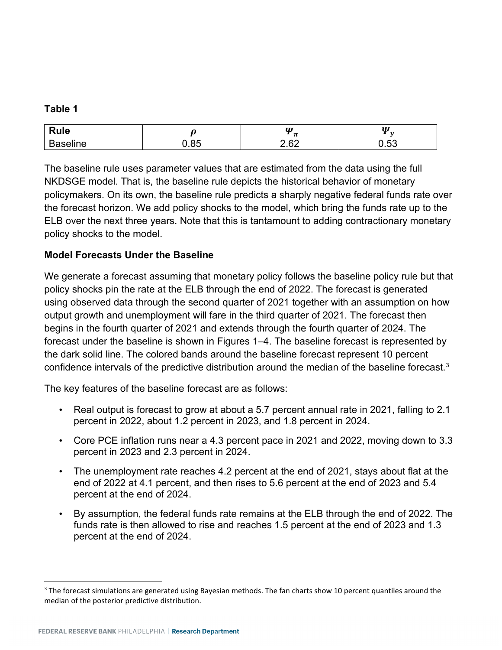#### **Table 1**

|                |                            | $\boldsymbol{U}$<br>-           | $\boldsymbol{U}$ |
|----------------|----------------------------|---------------------------------|------------------|
| . .<br>-<br>٦e | $\sim$ $\sim$<br>. .<br>в. | $\mathsf{c}$<br>$\sim$ . $\sim$ | $ \sim$<br>. .   |

The baseline rule uses parameter values that are estimated from the data using the full NKDSGE model. That is, the baseline rule depicts the historical behavior of monetary policymakers. On its own, the baseline rule predicts a sharply negative federal funds rate over the forecast horizon. We add policy shocks to the model, which bring the funds rate up to the ELB over the next three years. Note that this is tantamount to adding contractionary monetary policy shocks to the model.

### **Model Forecasts Under the Baseline**

We generate a forecast assuming that monetary policy follows the baseline policy rule but that policy shocks pin the rate at the ELB through the end of 2022. The forecast is generated using observed data through the second quarter of 2021 together with an assumption on how output growth and unemployment will fare in the third quarter of 2021. The forecast then begins in the fourth quarter of 2021 and extends through the fourth quarter of 2024. The forecast under the baseline is shown in Figures 1–4. The baseline forecast is represented by the dark solid line. The colored bands around the baseline forecast represent 10 percent confidence intervals of the predictive distribution around the median of the baseline forecast.[3](#page-4-0)

The key features of the baseline forecast are as follows:

- Real output is forecast to grow at about a 5.7 percent annual rate in 2021, falling to 2.1 percent in 2022, about 1.2 percent in 2023, and 1.8 percent in 2024.
- Core PCE inflation runs near a 4.3 percent pace in 2021 and 2022, moving down to 3.3 percent in 2023 and 2.3 percent in 2024.
- The unemployment rate reaches 4.2 percent at the end of 2021, stays about flat at the end of 2022 at 4.1 percent, and then rises to 5.6 percent at the end of 2023 and 5.4 percent at the end of 2024.
- By assumption, the federal funds rate remains at the ELB through the end of 2022. The funds rate is then allowed to rise and reaches 1.5 percent at the end of 2023 and 1.3 percent at the end of 2024.

<span id="page-4-0"></span><sup>&</sup>lt;sup>3</sup> The forecast simulations are generated using Bayesian methods. The fan charts show 10 percent quantiles around the median of the posterior predictive distribution.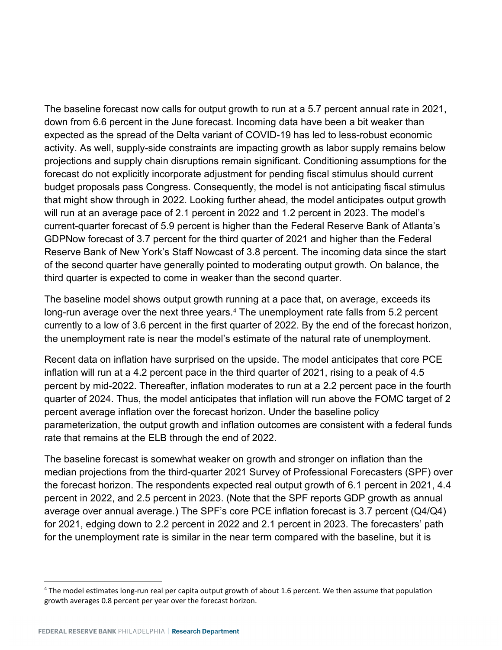The baseline forecast now calls for output growth to run at a 5.7 percent annual rate in 2021, down from 6.6 percent in the June forecast. Incoming data have been a bit weaker than expected as the spread of the Delta variant of COVID-19 has led to less-robust economic activity. As well, supply-side constraints are impacting growth as labor supply remains below projections and supply chain disruptions remain significant. Conditioning assumptions for the forecast do not explicitly incorporate adjustment for pending fiscal stimulus should current budget proposals pass Congress. Consequently, the model is not anticipating fiscal stimulus that might show through in 2022. Looking further ahead, the model anticipates output growth will run at an average pace of 2.1 percent in 2022 and 1.2 percent in 2023. The model's current-quarter forecast of 5.9 percent is higher than the Federal Reserve Bank of Atlanta's GDPNow forecast of 3.7 percent for the third quarter of 2021 and higher than the Federal Reserve Bank of New York's Staff Nowcast of 3.8 percent. The incoming data since the start of the second quarter have generally pointed to moderating output growth. On balance, the third quarter is expected to come in weaker than the second quarter.

The baseline model shows output growth running at a pace that, on average, exceeds its long-run average over the next three years.<sup>[4](#page-5-0)</sup> The unemployment rate falls from 5.2 percent currently to a low of 3.6 percent in the first quarter of 2022. By the end of the forecast horizon, the unemployment rate is near the model's estimate of the natural rate of unemployment.

Recent data on inflation have surprised on the upside. The model anticipates that core PCE inflation will run at a 4.2 percent pace in the third quarter of 2021, rising to a peak of 4.5 percent by mid-2022. Thereafter, inflation moderates to run at a 2.2 percent pace in the fourth quarter of 2024. Thus, the model anticipates that inflation will run above the FOMC target of 2 percent average inflation over the forecast horizon. Under the baseline policy parameterization, the output growth and inflation outcomes are consistent with a federal funds rate that remains at the ELB through the end of 2022.

The baseline forecast is somewhat weaker on growth and stronger on inflation than the median projections from the third-quarter 2021 Survey of Professional Forecasters (SPF) over the forecast horizon. The respondents expected real output growth of 6.1 percent in 2021, 4.4 percent in 2022, and 2.5 percent in 2023. (Note that the SPF reports GDP growth as annual average over annual average.) The SPF's core PCE inflation forecast is 3.7 percent (Q4/Q4) for 2021, edging down to 2.2 percent in 2022 and 2.1 percent in 2023. The forecasters' path for the unemployment rate is similar in the near term compared with the baseline, but it is

<span id="page-5-0"></span><sup>&</sup>lt;sup>4</sup> The model estimates long-run real per capita output growth of about 1.6 percent. We then assume that population growth averages 0.8 percent per year over the forecast horizon.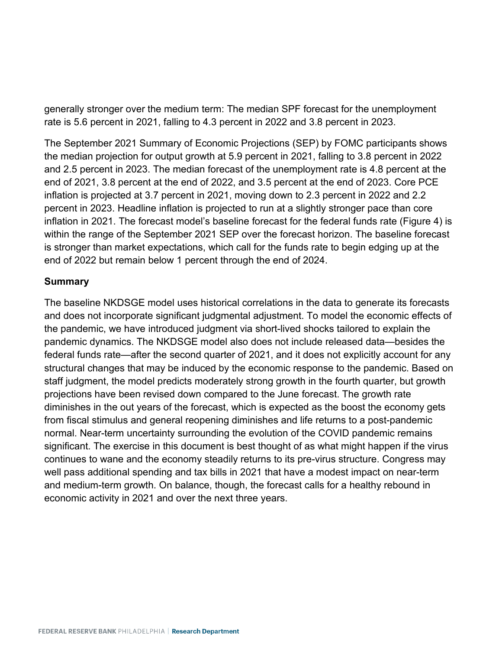generally stronger over the medium term: The median SPF forecast for the unemployment rate is 5.6 percent in 2021, falling to 4.3 percent in 2022 and 3.8 percent in 2023.

The September 2021 Summary of Economic Projections (SEP) by FOMC participants shows the median projection for output growth at 5.9 percent in 2021, falling to 3.8 percent in 2022 and 2.5 percent in 2023. The median forecast of the unemployment rate is 4.8 percent at the end of 2021, 3.8 percent at the end of 2022, and 3.5 percent at the end of 2023. Core PCE inflation is projected at 3.7 percent in 2021, moving down to 2.3 percent in 2022 and 2.2 percent in 2023. Headline inflation is projected to run at a slightly stronger pace than core inflation in 2021. The forecast model's baseline forecast for the federal funds rate (Figure 4) is within the range of the September 2021 SEP over the forecast horizon. The baseline forecast is stronger than market expectations, which call for the funds rate to begin edging up at the end of 2022 but remain below 1 percent through the end of 2024.

#### **Summary**

The baseline NKDSGE model uses historical correlations in the data to generate its forecasts and does not incorporate significant judgmental adjustment. To model the economic effects of the pandemic, we have introduced judgment via short-lived shocks tailored to explain the pandemic dynamics. The NKDSGE model also does not include released data—besides the federal funds rate—after the second quarter of 2021, and it does not explicitly account for any structural changes that may be induced by the economic response to the pandemic. Based on staff judgment, the model predicts moderately strong growth in the fourth quarter, but growth projections have been revised down compared to the June forecast. The growth rate diminishes in the out years of the forecast, which is expected as the boost the economy gets from fiscal stimulus and general reopening diminishes and life returns to a post-pandemic normal. Near-term uncertainty surrounding the evolution of the COVID pandemic remains significant. The exercise in this document is best thought of as what might happen if the virus continues to wane and the economy steadily returns to its pre-virus structure. Congress may well pass additional spending and tax bills in 2021 that have a modest impact on near-term and medium-term growth. On balance, though, the forecast calls for a healthy rebound in economic activity in 2021 and over the next three years.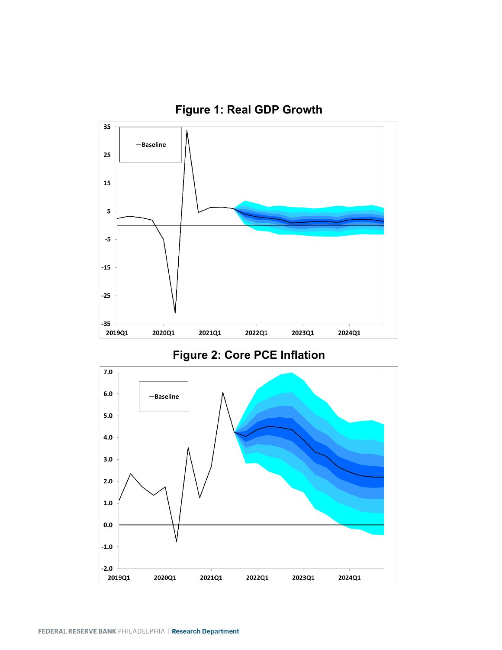

2020Q1

2021Q1

2022Q1

2023Q1

2024Q1

 $-2.0$ 2019Q1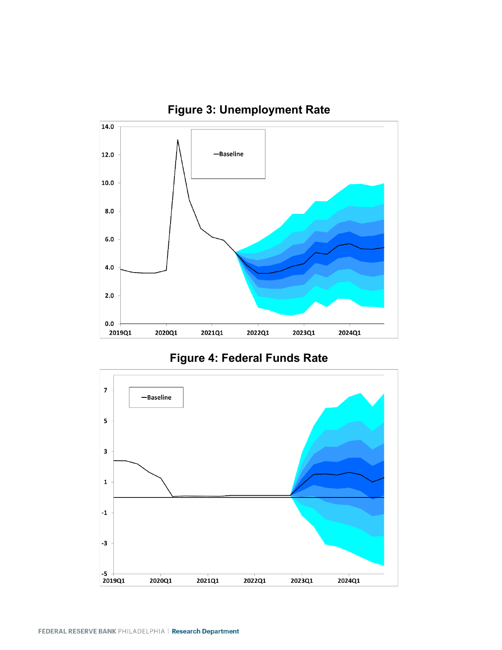



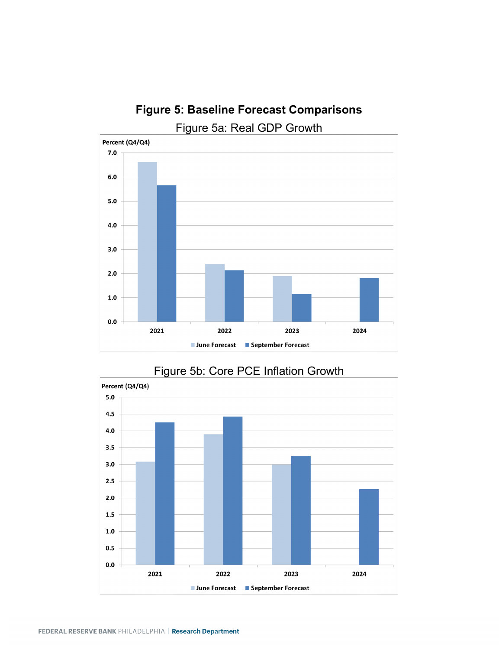

# **Figure 5: Baseline Forecast Comparisons**